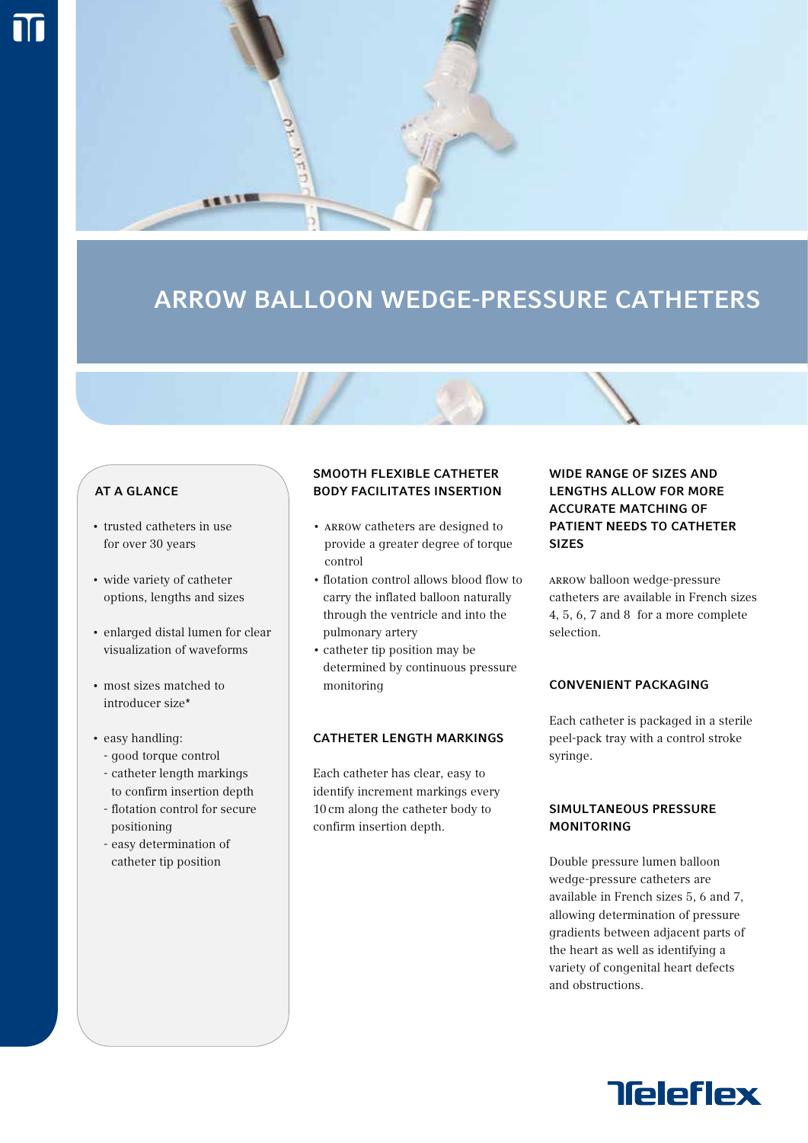

# ARROW Balloon Wedge-Pressure Catheters

# AT A GLANCE

- trusted catheters in use for over 30 years
- wide variety of catheter options, lengths and sizes
- enlarged distal lumen for clear visualization of waveforms
- most sizes matched to introducer size\*
- easy handling:
	- good torque control
	- catheter length markings to confirm insertion depth
	- flotation control for secure positioning
	- easy determination of catheter tip position

## SMOOTH FLEXIBLE CATHETER Body Facilitates Insertion

- Arrow catheters are designed to provide a greater degree of torque control
- flotation control allows blood flow to carry the inflated balloon naturally through the ventricle and into the pulmonary artery
- catheter tip position may be determined by continuous pressure monitoring

#### Catheter Length Markings

Each catheter has clear, easy to identify increment markings every 10cm along the catheter body to confirm insertion depth.

# Wide range of sizes and lengths allow for more accurate matching of patient needs to catheter sizes

Arrow balloon wedge-pressure catheters are available in French sizes 4, 5, 6, 7 and 8 for a more complete selection.

#### Convenient Packaging

Each catheter is packaged in a sterile peel-pack tray with a control stroke syringe.

## Simultaneous Pressure **MONITORING**

Double pressure lumen balloon wedge-pressure catheters are available in French sizes 5, 6 and 7, allowing determination of pressure gradients between adjacent parts of the heart as well as identifying a variety of congenital heart defects and obstructions.